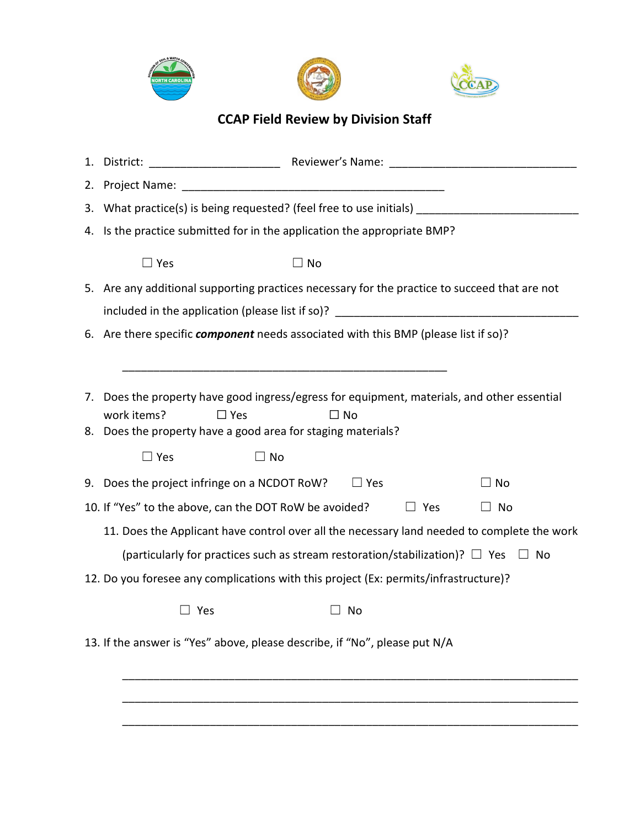





**CCAP Field Review by Division Staff**

|                                                                                      | 1. District:                                                                                                                                                                                             |                         |
|--------------------------------------------------------------------------------------|----------------------------------------------------------------------------------------------------------------------------------------------------------------------------------------------------------|-------------------------|
|                                                                                      |                                                                                                                                                                                                          |                         |
|                                                                                      | 3. What practice(s) is being requested? (feel free to use initials) ___________________                                                                                                                  |                         |
|                                                                                      | 4. Is the practice submitted for in the application the appropriate BMP?                                                                                                                                 |                         |
|                                                                                      | $\square$ Yes                                                                                                                                                                                            | $\Box$ No               |
|                                                                                      | 5. Are any additional supporting practices necessary for the practice to succeed that are not                                                                                                            |                         |
|                                                                                      | included in the application (please list if so)? _______________________________                                                                                                                         |                         |
|                                                                                      | 6. Are there specific <i>component</i> needs associated with this BMP (please list if so)?                                                                                                               |                         |
|                                                                                      |                                                                                                                                                                                                          |                         |
|                                                                                      | 7. Does the property have good ingress/egress for equipment, materials, and other essential<br>work items?<br>$\Box$ Yes<br>$\square$ No<br>8. Does the property have a good area for staging materials? |                         |
|                                                                                      | $\Box$ Yes<br>$\Box$ No                                                                                                                                                                                  |                         |
|                                                                                      | 9. Does the project infringe on a NCDOT RoW?                                                                                                                                                             | $\Box$ No<br>$\Box$ Yes |
|                                                                                      | 10. If "Yes" to the above, can the DOT RoW be avoided?<br>$\Box$ No<br>$\Box$ Yes                                                                                                                        |                         |
|                                                                                      | 11. Does the Applicant have control over all the necessary land needed to complete the work                                                                                                              |                         |
|                                                                                      | (particularly for practices such as stream restoration/stabilization)? $\Box$ Yes<br>$\Box$ No                                                                                                           |                         |
| 12. Do you foresee any complications with this project (Ex: permits/infrastructure)? |                                                                                                                                                                                                          |                         |
|                                                                                      | Yes                                                                                                                                                                                                      | No                      |
| 13. If the answer is "Yes" above, please describe, if "No", please put N/A           |                                                                                                                                                                                                          |                         |
|                                                                                      |                                                                                                                                                                                                          |                         |
|                                                                                      |                                                                                                                                                                                                          |                         |
|                                                                                      |                                                                                                                                                                                                          |                         |